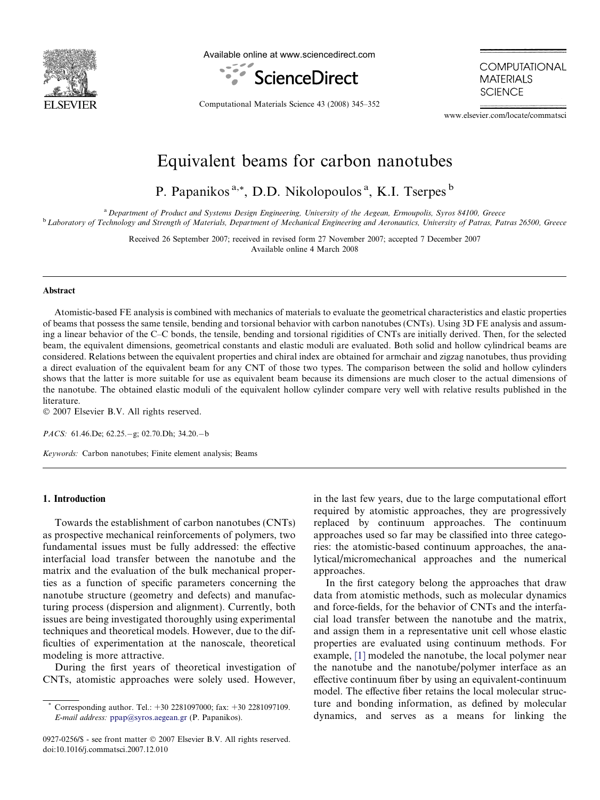

Available online at www.sciencedirect.com



**COMPUTATIONAL MATERIALS SCIENCE** 

Computational Materials Science 43 (2008) 345–352

www.elsevier.com/locate/commatsci

# Equivalent beams for carbon nanotubes

P. Papanikos<sup>a,\*</sup>, D.D. Nikolopoulos<sup>a</sup>, K.I. Tserpes<sup>b</sup>

<sup>a</sup> Department of Product and Systems Design Engineering, University of the Aegean, Ermoupolis, Syros 84100, Greece <sup>b</sup> Laboratory of Technology and Strength of Materials, Department of Mechanical Engineering and Aeronautics, University of Patras, Patras 26500, Greece

> Received 26 September 2007; received in revised form 27 November 2007; accepted 7 December 2007 Available online 4 March 2008

## Abstract

Atomistic-based FE analysis is combined with mechanics of materials to evaluate the geometrical characteristics and elastic properties of beams that possess the same tensile, bending and torsional behavior with carbon nanotubes (CNTs). Using 3D FE analysis and assuming a linear behavior of the C–C bonds, the tensile, bending and torsional rigidities of CNTs are initially derived. Then, for the selected beam, the equivalent dimensions, geometrical constants and elastic moduli are evaluated. Both solid and hollow cylindrical beams are considered. Relations between the equivalent properties and chiral index are obtained for armchair and zigzag nanotubes, thus providing a direct evaluation of the equivalent beam for any CNT of those two types. The comparison between the solid and hollow cylinders shows that the latter is more suitable for use as equivalent beam because its dimensions are much closer to the actual dimensions of the nanotube. The obtained elastic moduli of the equivalent hollow cylinder compare very well with relative results published in the literature.

 $© 2007 Elsevier B.V. All rights reserved.$ 

PACS: 61.46.De; 62.25.-g; 02.70.Dh; 34.20.-b

Keywords: Carbon nanotubes; Finite element analysis; Beams

# 1. Introduction

Towards the establishment of carbon nanotubes (CNTs) as prospective mechanical reinforcements of polymers, two fundamental issues must be fully addressed: the effective interfacial load transfer between the nanotube and the matrix and the evaluation of the bulk mechanical properties as a function of specific parameters concerning the nanotube structure (geometry and defects) and manufacturing process (dispersion and alignment). Currently, both issues are being investigated thoroughly using experimental techniques and theoretical models. However, due to the difficulties of experimentation at the nanoscale, theoretical modeling is more attractive.

During the first years of theoretical investigation of CNTs, atomistic approaches were solely used. However,

in the last few years, due to the large computational effort required by atomistic approaches, they are progressively replaced by continuum approaches. The continuum approaches used so far may be classified into three categories: the atomistic-based continuum approaches, the analytical/micromechanical approaches and the numerical approaches.

In the first category belong the approaches that draw data from atomistic methods, such as molecular dynamics and force-fields, for the behavior of CNTs and the interfacial load transfer between the nanotube and the matrix, and assign them in a representative unit cell whose elastic properties are evaluated using continuum methods. For example, [\[1\]](#page-7-0) modeled the nanotube, the local polymer near the nanotube and the nanotube/polymer interface as an effective continuum fiber by using an equivalent-continuum model. The effective fiber retains the local molecular structure and bonding information, as defined by molecular dynamics, and serves as a means for linking the

Corresponding author. Tel.: +30 2281097000; fax: +30 2281097109. E-mail address: [ppap@syros.aegean.gr](mailto:ppap@syros.aegean.gr) (P. Papanikos).

<sup>0927-0256/\$ -</sup> see front matter © 2007 Elsevier B.V. All rights reserved. doi:10.1016/j.commatsci.2007.12.010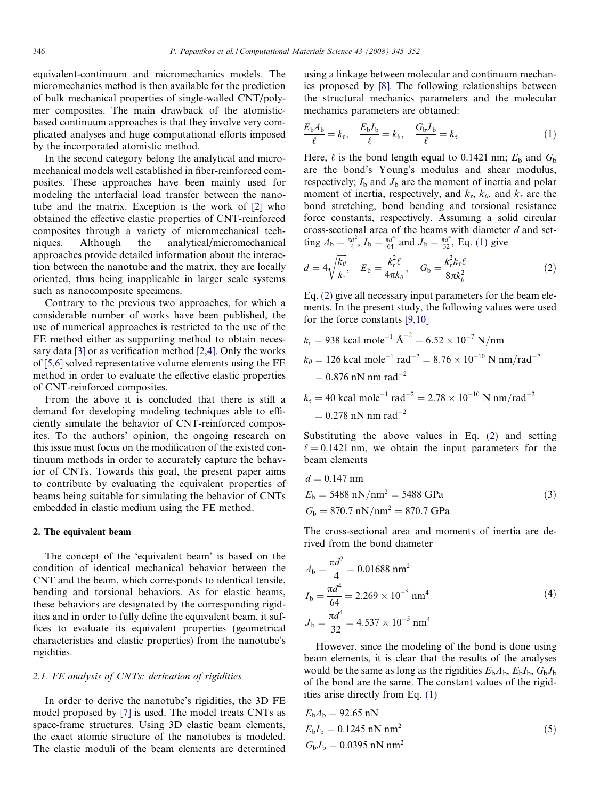<span id="page-1-0"></span>equivalent-continuum and micromechanics models. The micromechanics method is then available for the prediction of bulk mechanical properties of single-walled CNT/polymer composites. The main drawback of the atomisticbased continuum approaches is that they involve very complicated analyses and huge computational efforts imposed by the incorporated atomistic method.

In the second category belong the analytical and micromechanical models well established in fiber-reinforced composites. These approaches have been mainly used for modeling the interfacial load transfer between the nanotube and the matrix. Exception is the work of [\[2\]](#page-7-0) who obtained the effective elastic properties of CNT-reinforced composites through a variety of micromechanical techniques. Although the analytical/micromechanical approaches provide detailed information about the interaction between the nanotube and the matrix, they are locally oriented, thus being inapplicable in larger scale systems such as nanocomposite specimens.

Contrary to the previous two approaches, for which a considerable number of works have been published, the use of numerical approaches is restricted to the use of the FE method either as supporting method to obtain necessary data [\[3\]](#page-7-0) or as verification method [\[2,4\].](#page-7-0) Only the works of [\[5,6\]](#page-7-0) solved representative volume elements using the FE method in order to evaluate the effective elastic properties of CNT-reinforced composites.

From the above it is concluded that there is still a demand for developing modeling techniques able to efficiently simulate the behavior of CNT-reinforced composites. To the authors' opinion, the ongoing research on this issue must focus on the modification of the existed continuum methods in order to accurately capture the behavior of CNTs. Towards this goal, the present paper aims to contribute by evaluating the equivalent properties of beams being suitable for simulating the behavior of CNTs embedded in elastic medium using the FE method.

## 2. The equivalent beam

The concept of the 'equivalent beam' is based on the condition of identical mechanical behavior between the CNT and the beam, which corresponds to identical tensile, bending and torsional behaviors. As for elastic beams, these behaviors are designated by the corresponding rigidities and in order to fully define the equivalent beam, it suffices to evaluate its equivalent properties (geometrical characteristics and elastic properties) from the nanotube's rigidities.

# 2.1. FE analysis of CNTs: derivation of rigidities

In order to derive the nanotube's rigidities, the 3D FE model proposed by [\[7\]](#page-7-0) is used. The model treats CNTs as space-frame structures. Using 3D elastic beam elements, the exact atomic structure of the nanotubes is modeled. The elastic moduli of the beam elements are determined using a linkage between molecular and continuum mechanics proposed by [\[8\].](#page-7-0) The following relationships between the structural mechanics parameters and the molecular mechanics parameters are obtained:

$$
\frac{E_{\rm b}A_{\rm b}}{\ell} = k_{\rm r}, \quad \frac{E_{\rm b}I_{\rm b}}{\ell} = k_{\theta}, \quad \frac{G_{\rm b}J_{\rm b}}{\ell} = k_{\tau} \tag{1}
$$

Here,  $\ell$  is the bond length equal to 0.1421 nm;  $E_b$  and  $G_b$ are the bond's Young's modulus and shear modulus, respectively;  $I<sub>b</sub>$  and  $J<sub>b</sub>$  are the moment of inertia and polar moment of inertia, respectively, and  $k_r$ ,  $k_\theta$ , and  $k_\tau$  are the bond stretching, bond bending and torsional resistance force constants, respectively. Assuming a solid circular cross-sectional area of the beams with diameter  $d$  and setting  $A_b = \frac{\pi d^2}{4}$ ,  $I_b = \frac{\pi d^4}{64}$  and  $J_b = \frac{\pi d^4}{32}$ , Eq. (1) give

$$
d = 4\sqrt{\frac{k_{\theta}}{k_{\text{r}}}}, \quad E_{\text{b}} = \frac{k_{\text{r}}^2 \ell}{4\pi k_{\theta}}, \quad G_{\text{b}} = \frac{k_{\text{r}}^2 k_{\text{r}} \ell}{8\pi k_{\theta}^2}
$$
(2)

Eq. (2) give all necessary input parameters for the beam elements. In the present study, the following values were used for the force constants [\[9,10\]](#page-7-0)

$$
k_{\rm r} = 938 \text{ kcal mole}^{-1} \text{ Å}^{-2} = 6.52 \times 10^{-7} \text{ N/mm}
$$
  
\n
$$
k_{\theta} = 126 \text{ kcal mole}^{-1} \text{ rad}^{-2} = 8.76 \times 10^{-10} \text{ N nm/rad}^{-2}
$$
  
\n= 0.876 nN nm rad<sup>-2</sup>  
\n
$$
k = 40 \text{ kcal mole}^{-1} \text{ rad}^{-2} = 2.78 \times 10^{-10} \text{ N nm/rad}^{-2}
$$

$$
k_{\tau} = 40
$$
 kcal mole<sup>-1</sup> rad<sup>-2</sup> = 2.78 × 10<sup>-10</sup> N nm/rad<sup>-2</sup>  
= 0.278 nN nm rad<sup>-2</sup>

Substituting the above values in Eq. (2) and setting  $\ell = 0.1421$  nm, we obtain the input parameters for the beam elements

$$
d = 0.147 \text{ nm}
$$
  
\n
$$
E_b = 5488 \text{ nN/nm}^2 = 5488 \text{ GPa}
$$
  
\n
$$
G_b = 870.7 \text{ nN/nm}^2 = 870.7 \text{ GPa}
$$
\n(3)

The cross-sectional area and moments of inertia are derived from the bond diameter

$$
A_{\rm b} = \frac{\pi d^2}{4} = 0.01688 \text{ nm}^2
$$
  
\n
$$
I_{\rm b} = \frac{\pi d^4}{64} = 2.269 \times 10^{-5} \text{ nm}^4
$$
  
\n
$$
J_{\rm b} = \frac{\pi d^4}{32} = 4.537 \times 10^{-5} \text{ nm}^4
$$
 (4)

However, since the modeling of the bond is done using beam elements, it is clear that the results of the analyses would be the same as long as the rigidities  $E_{\rm b}A_{\rm b}$ ,  $E_{\rm b}I_{\rm b}$ ,  $G_{\rm b}J_{\rm b}$ of the bond are the same. The constant values of the rigidities arise directly from Eq. (1)

$$
E_{\rm b}A_{\rm b} = 92.65 \text{ nN}
$$
  
\n
$$
E_{\rm b}I_{\rm b} = 0.1245 \text{ nN nm}^2
$$
  
\n
$$
G_{\rm b}J_{\rm b} = 0.0395 \text{ nN nm}^2
$$
\n(5)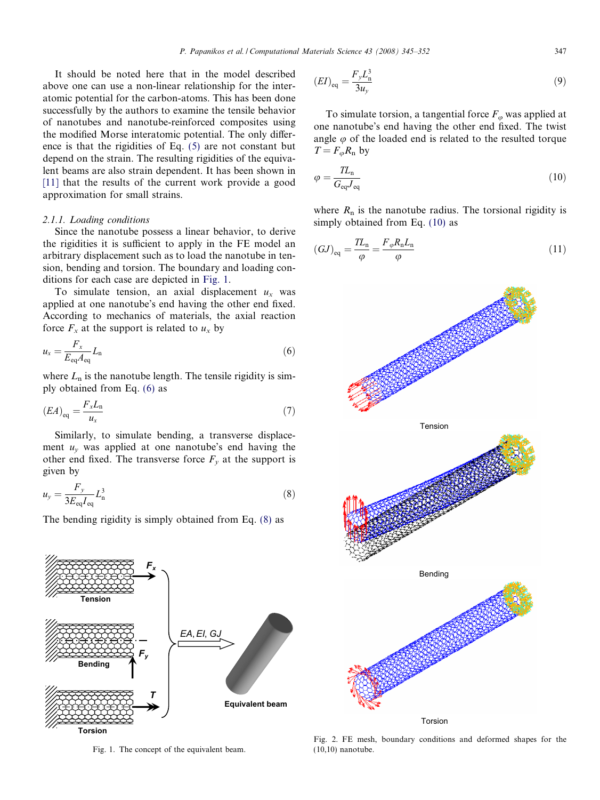<span id="page-2-0"></span>It should be noted here that in the model described above one can use a non-linear relationship for the interatomic potential for the carbon-atoms. This has been done successfully by the authors to examine the tensile behavior of nanotubes and nanotube-reinforced composites using the modified Morse interatomic potential. The only difference is that the rigidities of Eq. [\(5\)](#page-1-0) are not constant but depend on the strain. The resulting rigidities of the equivalent beams are also strain dependent. It has been shown in [\[11\]](#page-7-0) that the results of the current work provide a good approximation for small strains.

## 2.1.1. Loading conditions

Since the nanotube possess a linear behavior, to derive the rigidities it is sufficient to apply in the FE model an arbitrary displacement such as to load the nanotube in tension, bending and torsion. The boundary and loading conditions for each case are depicted in Fig. 1.

To simulate tension, an axial displacement  $u_x$  was applied at one nanotube's end having the other end fixed. According to mechanics of materials, the axial reaction force  $F_x$  at the support is related to  $u_x$  by

$$
u_x = \frac{F_x}{E_{\text{eq}} A_{\text{eq}}} L_{\text{n}} \tag{6}
$$

where  $L_n$  is the nanotube length. The tensile rigidity is simply obtained from Eq. (6) as

$$
(EA)_{\text{eq}} = \frac{F_x L_\text{n}}{u_x} \tag{7}
$$

Similarly, to simulate bending, a transverse displacement  $u<sub>v</sub>$  was applied at one nanotube's end having the other end fixed. The transverse force  $F<sub>v</sub>$  at the support is given by

$$
u_y = \frac{F_y}{3E_{\text{eq}}I_{\text{eq}}}L_{\text{n}}^3\tag{8}
$$

The bending rigidity is simply obtained from Eq. (8) as



Fig. 1. The concept of the equivalent beam.

$$
(EI)_{\text{eq}} = \frac{F_y L_n^3}{3u_y} \tag{9}
$$

To simulate torsion, a tangential force  $F_{\varphi}$  was applied at one nanotube's end having the other end fixed. The twist angle  $\varphi$  of the loaded end is related to the resulted torque  $T = F_{\omega} R_{\rm n}$  by

$$
\varphi = \frac{T L_{\rm n}}{G_{\rm eq} J_{\rm eq}}\tag{10}
$$

where  $R_n$  is the nanotube radius. The torsional rigidity is simply obtained from Eq. (10) as

$$
(GJ)_{\text{eq}} = \frac{T L_{\text{n}}}{\varphi} = \frac{F_{\varphi} R_{\text{n}} L_{\text{n}}}{\varphi} \tag{11}
$$



Fig. 2. FE mesh, boundary conditions and deformed shapes for the (10,10) nanotube.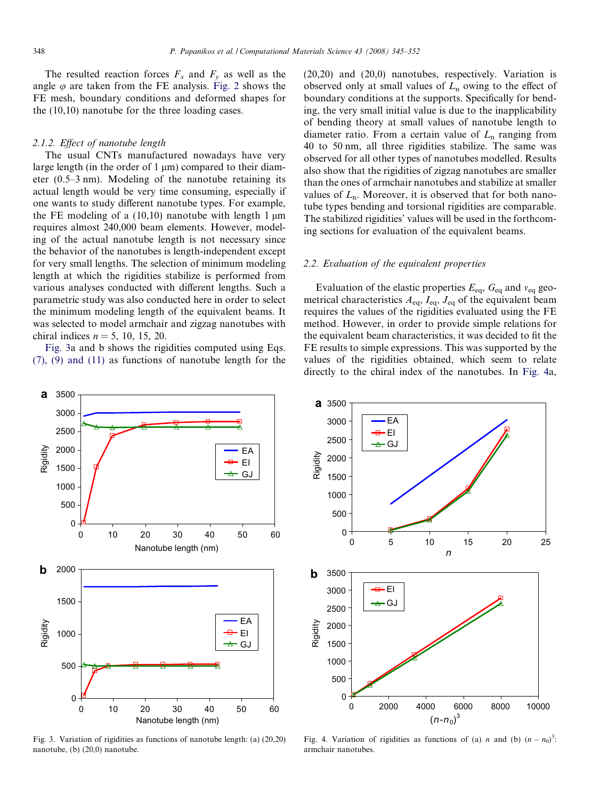<span id="page-3-0"></span>The resulted reaction forces  $F_x$  and  $F_y$  as well as the angle  $\varphi$  are taken from the FE analysis. [Fig. 2](#page-2-0) shows the FE mesh, boundary conditions and deformed shapes for the (10,10) nanotube for the three loading cases.

### 2.1.2. Effect of nanotube length

The usual CNTs manufactured nowadays have very large length (in the order of  $1 \mu m$ ) compared to their diameter (0.5–3 nm). Modeling of the nanotube retaining its actual length would be very time consuming, especially if one wants to study different nanotube types. For example, the FE modeling of a  $(10,10)$  nanotube with length 1  $\mu$ m requires almost 240,000 beam elements. However, modeling of the actual nanotube length is not necessary since the behavior of the nanotubes is length-independent except for very small lengths. The selection of minimum modeling length at which the rigidities stabilize is performed from various analyses conducted with different lengths. Such a parametric study was also conducted here in order to select the minimum modeling length of the equivalent beams. It was selected to model armchair and zigzag nanotubes with chiral indices  $n = 5$ , 10, 15, 20.

Fig. 3a and b shows the rigidities computed using Eqs. [\(7\), \(9\) and \(11\)](#page-2-0) as functions of nanotube length for the (20,20) and (20,0) nanotubes, respectively. Variation is observed only at small values of  $L_n$  owing to the effect of boundary conditions at the supports. Specifically for bending, the very small initial value is due to the inapplicability of bending theory at small values of nanotube length to diameter ratio. From a certain value of  $L_n$  ranging from 40 to 50 nm, all three rigidities stabilize. The same was observed for all other types of nanotubes modelled. Results also show that the rigidities of zigzag nanotubes are smaller than the ones of armchair nanotubes and stabilize at smaller values of  $L_n$ . Moreover, it is observed that for both nanotube types bending and torsional rigidities are comparable. The stabilized rigidities' values will be used in the forthcoming sections for evaluation of the equivalent beams.

#### 2.2. Evaluation of the equivalent properties

Evaluation of the elastic properties  $E_{eq}$ ,  $G_{eq}$  and  $v_{eq}$  geometrical characteristics  $A_{eq}$ ,  $I_{eq}$ ,  $J_{eq}$  of the equivalent beam requires the values of the rigidities evaluated using the FE method. However, in order to provide simple relations for the equivalent beam characteristics, it was decided to fit the FE results to simple expressions. This was supported by the values of the rigidities obtained, which seem to relate directly to the chiral index of the nanotubes. In Fig. 4a,



Fig. 3. Variation of rigidities as functions of nanotube length: (a) (20,20) nanotube, (b) (20,0) nanotube.



Fig. 4. Variation of rigidities as functions of (a) *n* and (b)  $(n - n_0)^3$ : armchair nanotubes.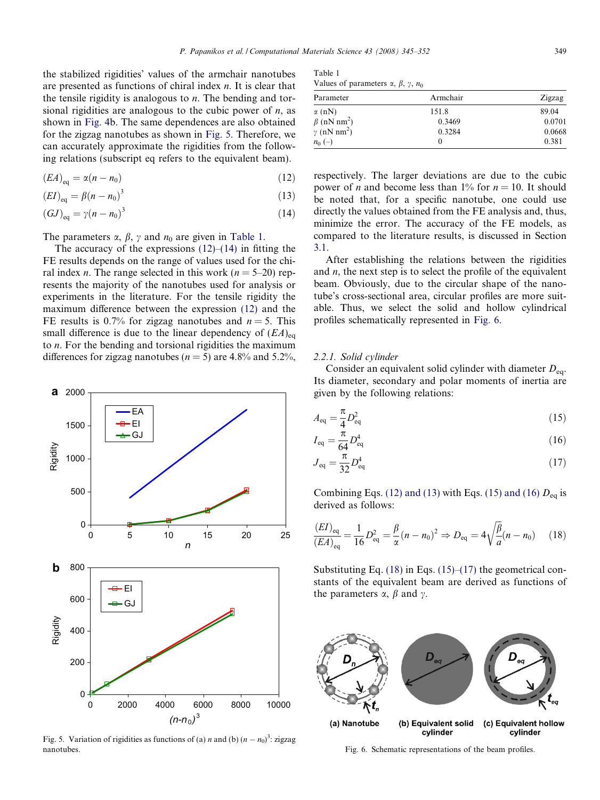<span id="page-4-0"></span>the stabilized rigidities' values of the armchair nanotubes are presented as functions of chiral index  $n$ . It is clear that the tensile rigidity is analogous to  $n$ . The bending and torsional rigidities are analogous to the cubic power of  $n$ , as shown in [Fig. 4](#page-3-0)b. The same dependences are also obtained for the zigzag nanotubes as shown in Fig. 5. Therefore, we can accurately approximate the rigidities from the following relations (subscript eq refers to the equivalent beam).

$$
(EA)_{\text{eq}} = \alpha(n - n_0) \tag{12}
$$

$$
(EI)_{\text{eq}} = \beta (n - n_0)^3 \tag{13}
$$

$$
(GJ)_{\text{eq}} = \gamma (n - n_0)^3 \tag{14}
$$

The parameters  $\alpha$ ,  $\beta$ ,  $\gamma$  and  $n_0$  are given in Table 1.

The accuracy of the expressions  $(12)$ – $(14)$  in fitting the FE results depends on the range of values used for the chiral index *n*. The range selected in this work ( $n = 5-20$ ) represents the majority of the nanotubes used for analysis or experiments in the literature. For the tensile rigidity the maximum difference between the expression (12) and the FE results is 0.7% for zigzag nanotubes and  $n = 5$ . This small difference is due to the linear dependency of  $(EA)_{eq}$ to  $n$ . For the bending and torsional rigidities the maximum differences for zigzag nanotubes ( $n = 5$ ) are 4.8% and 5.2%.



Fig. 5. Variation of rigidities as functions of (a) *n* and (b)  $(n - n_0)^3$ : zigzag nanotubes.

| Table 1                                                    |  |  |  |
|------------------------------------------------------------|--|--|--|
| Values of parameters $\alpha$ , $\beta$ , $\gamma$ , $n_0$ |  |  |  |

| Parameter                      | Armchair | Zigzag |
|--------------------------------|----------|--------|
| $\alpha$ (nN)                  | 151.8    | 89.04  |
| $\beta$ (nN nm <sup>2</sup> )  | 0.3469   | 0.0701 |
| $\gamma$ (nN nm <sup>2</sup> ) | 0.3284   | 0.0668 |
| $n_0(-)$                       | $\Omega$ | 0.381  |

respectively. The larger deviations are due to the cubic power of *n* and become less than 1% for  $n = 10$ . It should be noted that, for a specific nanotube, one could use directly the values obtained from the FE analysis and, thus, minimize the error. The accuracy of the FE models, as compared to the literature results, is discussed in Section [3.1](#page-6-0).

After establishing the relations between the rigidities and  $n$ , the next step is to select the profile of the equivalent beam. Obviously, due to the circular shape of the nanotube's cross-sectional area, circular profiles are more suitable. Thus, we select the solid and hollow cylindrical profiles schematically represented in Fig. 6.

## 2.2.1. Solid cylinder

Consider an equivalent solid cylinder with diameter  $D_{eq}$ . Its diameter, secondary and polar moments of inertia are given by the following relations:

$$
A_{\rm eq} = \frac{\pi}{4} D_{\rm eq}^2 \tag{15}
$$

$$
I_{\text{eq}} = \frac{\pi}{64} D_{\text{eq}}^4 \tag{16}
$$

$$
J_{\text{eq}} = \frac{\pi}{32} D_{\text{eq}}^4 \tag{17}
$$

Combining Eqs. (12) and (13) with Eqs. (15) and (16)  $D_{eq}$  is derived as follows:

$$
\frac{(EI)_{\text{eq}}}{(EA)_{\text{eq}}} = \frac{1}{16} D_{\text{eq}}^2 = \frac{\beta}{\alpha} (n - n_0)^2 \Rightarrow D_{\text{eq}} = 4\sqrt{\frac{\beta}{a}} (n - n_0) \tag{18}
$$

Substituting Eq.  $(18)$  in Eqs.  $(15)$ – $(17)$  the geometrical constants of the equivalent beam are derived as functions of the parameters  $\alpha$ ,  $\beta$  and  $\gamma$ .



Fig. 6. Schematic representations of the beam profiles.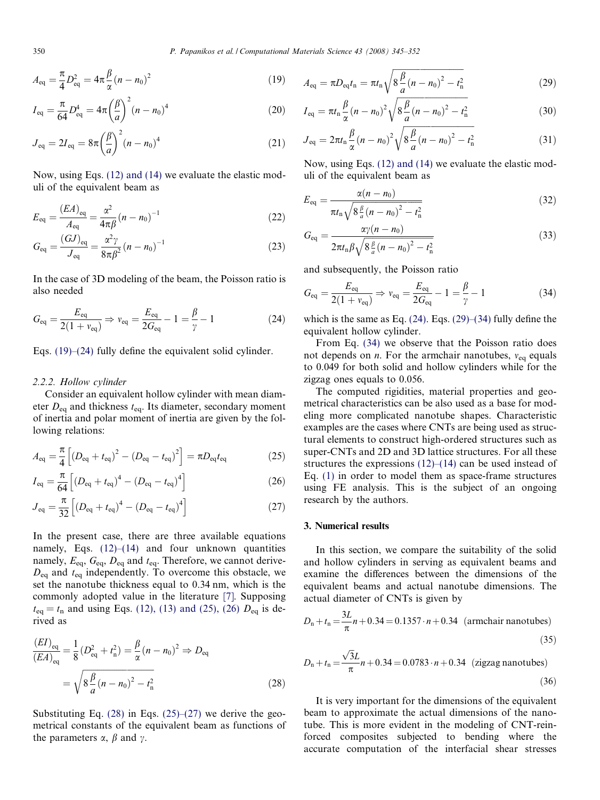$$
A_{\text{eq}} = \frac{\pi}{4} D_{\text{eq}}^2 = 4\pi \frac{\beta}{\alpha} (n - n_0)^2
$$
 (19)

$$
I_{\text{eq}} = \frac{\pi}{64} D_{\text{eq}}^4 = 4\pi \left(\frac{\beta}{a}\right)^2 (n - n_0)^4 \tag{20}
$$

$$
J_{\text{eq}} = 2I_{\text{eq}} = 8\pi \left(\frac{\beta}{a}\right)^2 (n - n_0)^4 \tag{21}
$$

Now, using Eqs. [\(12\) and \(14\)](#page-4-0) we evaluate the elastic moduli of the equivalent beam as

$$
E_{\text{eq}} = \frac{(EA)_{\text{eq}}}{A_{\text{eq}}} = \frac{\alpha^2}{4\pi\beta} (n - n_0)^{-1}
$$
 (22)

$$
G_{\text{eq}} = \frac{(GJ)_{\text{eq}}}{J_{\text{eq}}} = \frac{\alpha^2 \gamma}{8\pi\beta^2} (n - n_0)^{-1}
$$
 (23)

In the case of 3D modeling of the beam, the Poisson ratio is also needed

$$
G_{\text{eq}} = \frac{E_{\text{eq}}}{2(1 + v_{\text{eq}})} \Rightarrow v_{\text{eq}} = \frac{E_{\text{eq}}}{2G_{\text{eq}}} - 1 = \frac{\beta}{\gamma} - 1 \tag{24}
$$

Eqs. [\(19\)–\(24\)](#page-4-0) fully define the equivalent solid cylinder.

## 2.2.2. Hollow cylinder

Consider an equivalent hollow cylinder with mean diameter  $D_{eq}$  and thickness  $t_{eq}$ . Its diameter, secondary moment of inertia and polar moment of inertia are given by the following relations:

$$
A_{\text{eq}} = \frac{\pi}{4} \left[ \left( D_{\text{eq}} + t_{\text{eq}} \right)^2 - \left( D_{\text{eq}} - t_{\text{eq}} \right)^2 \right] = \pi D_{\text{eq}} t_{\text{eq}} \tag{25}
$$

$$
I_{\text{eq}} = \frac{\pi}{64} \left[ \left( D_{\text{eq}} + t_{\text{eq}} \right)^4 - \left( D_{\text{eq}} - t_{\text{eq}} \right)^4 \right]
$$
 (26)

$$
J_{\text{eq}} = \frac{\pi}{32} \left[ \left( D_{\text{eq}} + t_{\text{eq}} \right)^4 - \left( D_{\text{eq}} - t_{\text{eq}} \right)^4 \right]
$$
 (27)

In the present case, there are three available equations namely, Eqs.  $(12)$ – $(14)$  and four unknown quantities namely,  $E_{\text{eq}}$ ,  $G_{\text{eq}}$ ,  $D_{\text{eq}}$  and  $t_{\text{eq}}$ . Therefore, we cannot derive- $D_{\text{eq}}$  and  $t_{\text{eq}}$  independently. To overcome this obstacle, we set the nanotube thickness equal to 0.34 nm, which is the commonly adopted value in the literature [\[7\]](#page-7-0). Supposing  $t_{eq} = t_n$  and using Eqs. [\(12\), \(13\) and \(25\), \(26\)](#page-4-0)  $D_{eq}$  is derived as

$$
\frac{(EI)_{\text{eq}}}{(EA)_{\text{eq}}} = \frac{1}{8} (D_{\text{eq}}^2 + t_n^2) = \frac{\beta}{\alpha} (n - n_0)^2 \Rightarrow D_{\text{eq}}
$$

$$
= \sqrt{8 \frac{\beta}{a} (n - n_0)^2 - t_n^2}
$$
(28)

Substituting Eq.  $(28)$  in Eqs.  $(25)$ – $(27)$  we derive the geometrical constants of the equivalent beam as functions of the parameters  $\alpha$ ,  $\beta$  and  $\gamma$ .

$$
A_{\text{eq}} = \pi D_{\text{eq}} t_{\text{n}} = \pi t_{\text{n}} \sqrt{8 \frac{\beta}{a} (n - n_{0})^{2} - t_{\text{n}}^{2}}
$$
(29)

$$
I_{\text{eq}} = \pi t_{\text{n}} \frac{\beta}{\alpha} (n - n_{0})^{2} \sqrt{8 \frac{\beta}{a} (n - n_{0})^{2} - t_{\text{n}}^{2}}
$$
(30)

$$
J_{\text{eq}} = 2\pi t_n \frac{\beta}{\alpha} (n - n_0)^2 \sqrt{8 \frac{\beta}{a} (n - n_0)^2 - t_n^2}
$$
 (31)

Now, using Eqs. [\(12\) and \(14\)](#page-4-0) we evaluate the elastic moduli of the equivalent beam as

$$
E_{\text{eq}} = \frac{\alpha (n - n_0)}{\pi t_n \sqrt{8 \frac{\beta}{a} (n - n_0)^2 - t_n^2}}
$$
(32)

$$
G_{\text{eq}} = \frac{\alpha \gamma (n - n_0)}{2\pi t_n \beta \sqrt{8\frac{\beta}{a} (n - n_0)^2 - t_n^2}}
$$
(33)

and subsequently, the Poisson ratio

$$
G_{\text{eq}} = \frac{E_{\text{eq}}}{2(1 + v_{\text{eq}})} \Rightarrow v_{\text{eq}} = \frac{E_{\text{eq}}}{2G_{\text{eq}}} - 1 = \frac{\beta}{\gamma} - 1 \tag{34}
$$

which is the same as Eq.  $(24)$ . Eqs.  $(29)$ – $(34)$  fully define the equivalent hollow cylinder.

From Eq. (34) we observe that the Poisson ratio does not depends on *n*. For the armchair nanotubes,  $v_{eq}$  equals to 0.049 for both solid and hollow cylinders while for the zigzag ones equals to 0.056.

The computed rigidities, material properties and geometrical characteristics can be also used as a base for modeling more complicated nanotube shapes. Characteristic examples are the cases where CNTs are being used as structural elements to construct high-ordered structures such as super-CNTs and 2D and 3D lattice structures. For all these structures the expressions  $(12)$ – $(14)$  can be used instead of Eq. [\(1\)](#page-1-0) in order to model them as space-frame structures using FE analysis. This is the subject of an ongoing research by the authors.

# 3. Numerical results

In this section, we compare the suitability of the solid and hollow cylinders in serving as equivalent beams and examine the differences between the dimensions of the equivalent beams and actual nanotube dimensions. The actual diameter of CNTs is given by

$$
D_n + t_n = \frac{3L}{\pi} n + 0.34 = 0.1357 \cdot n + 0.34 \text{ (armchair nanotubes)}
$$
\n
$$
(35)
$$
\n
$$
D_{n+1} = \frac{\sqrt{3}L}{\sqrt{3}} n + 0.34 = 0.0783 \cdot n + 0.34 \text{ (zigzag nanotubes)}
$$

$$
D_n + t_n = \frac{\sqrt{3L}}{\pi} n + 0.34 = 0.0783 \cdot n + 0.34 \quad \text{(zigzag nanotubes)}
$$
\n(36)

It is very important for the dimensions of the equivalent beam to approximate the actual dimensions of the nanotube. This is more evident in the modeling of CNT-reinforced composites subjected to bending where the accurate computation of the interfacial shear stresses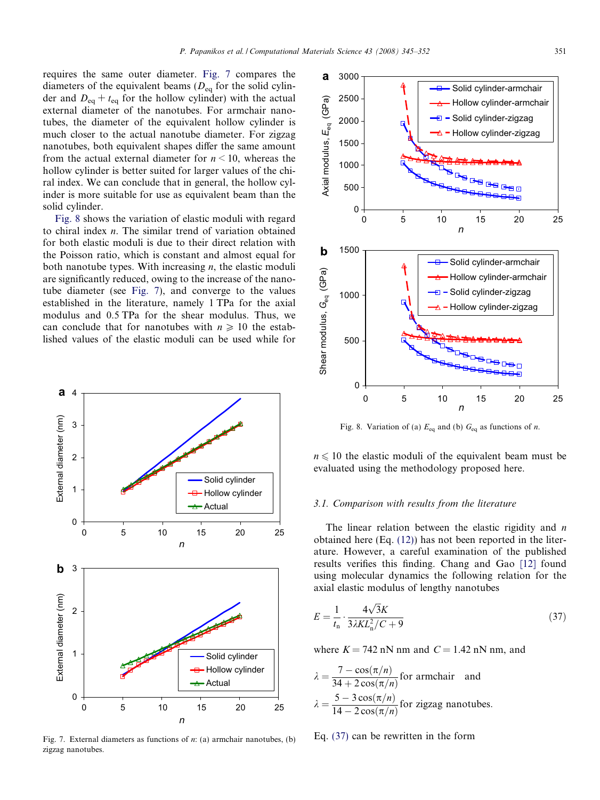<span id="page-6-0"></span>requires the same outer diameter. Fig. 7 compares the diameters of the equivalent beams ( $D_{eq}$  for the solid cylinder and  $D_{eq} + t_{eq}$  for the hollow cylinder) with the actual external diameter of the nanotubes. For armchair nanotubes, the diameter of the equivalent hollow cylinder is much closer to the actual nanotube diameter. For zigzag nanotubes, both equivalent shapes differ the same amount from the actual external diameter for  $n < 10$ , whereas the hollow cylinder is better suited for larger values of the chiral index. We can conclude that in general, the hollow cylinder is more suitable for use as equivalent beam than the solid cylinder.

Fig. 8 shows the variation of elastic moduli with regard to chiral index n. The similar trend of variation obtained for both elastic moduli is due to their direct relation with the Poisson ratio, which is constant and almost equal for both nanotube types. With increasing  $n$ , the elastic moduli are significantly reduced, owing to the increase of the nanotube diameter (see Fig. 7), and converge to the values established in the literature, namely 1 TPa for the axial modulus and 0.5 TPa for the shear modulus. Thus, we can conclude that for nanotubes with  $n \geq 10$  the established values of the elastic moduli can be used while for



Fig. 7. External diameters as functions of  $n$ : (a) armchair nanotubes, (b) zigzag nanotubes.



Fig. 8. Variation of (a)  $E_{eq}$  and (b)  $G_{eq}$  as functions of *n*.

 $n \leq 10$  the elastic moduli of the equivalent beam must be evaluated using the methodology proposed here.

# 3.1. Comparison with results from the literature

The linear relation between the elastic rigidity and  $n$ obtained here (Eq. [\(12\)](#page-4-0)) has not been reported in the literature. However, a careful examination of the published results verifies this finding. Chang and Gao [\[12\]](#page-7-0) found using molecular dynamics the following relation for the axial elastic modulus of lengthy nanotubes

$$
E = \frac{1}{t_{\rm n}} \cdot \frac{4\sqrt{3}K}{3\lambda K L_{\rm n}^2/C + 9} \tag{37}
$$

where  $K = 742$  nN nm and  $C = 1.42$  nN nm, and

$$
\lambda = \frac{7 - \cos(\pi/n)}{34 + 2\cos(\pi/n)}
$$
 for armchair and  

$$
\lambda = \frac{5 - 3\cos(\pi/n)}{14 - 2\cos(\pi/n)}
$$
 for zigzag nanotubes.

Eq. (37) can be rewritten in the form